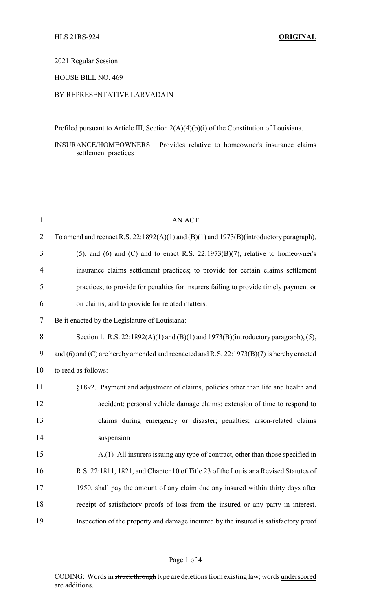## 2021 Regular Session

## HOUSE BILL NO. 469

## BY REPRESENTATIVE LARVADAIN

Prefiled pursuant to Article III, Section 2(A)(4)(b)(i) of the Constitution of Louisiana.

INSURANCE/HOMEOWNERS: Provides relative to homeowner's insurance claims settlement practices

| $\mathbf{1}$   | <b>AN ACT</b>                                                                                  |
|----------------|------------------------------------------------------------------------------------------------|
| $\overline{2}$ | To amend and reenact R.S. $22:1892(A)(1)$ and $(B)(1)$ and $1973(B)(introductory paragraph)$ , |
| 3              | $(5)$ , and $(6)$ and $(C)$ and to enact R.S. 22:1973 $(B)(7)$ , relative to homeowner's       |
| 4              | insurance claims settlement practices; to provide for certain claims settlement                |
| 5              | practices; to provide for penalties for insurers failing to provide timely payment or          |
| 6              | on claims; and to provide for related matters.                                                 |
| 7              | Be it enacted by the Legislature of Louisiana:                                                 |
| $8\,$          | Section 1. R.S. $22:1892(A)(1)$ and $(B)(1)$ and $1973(B)(introductory paragraph)$ , (5),      |
| 9              | and (6) and (C) are hereby amended and reenacted and R.S. 22:1973(B)(7) is hereby enacted      |
| 10             | to read as follows:                                                                            |
| 11             | §1892. Payment and adjustment of claims, policies other than life and health and               |
| 12             | accident; personal vehicle damage claims; extension of time to respond to                      |
| 13             | claims during emergency or disaster; penalties; arson-related claims                           |
| 14             | suspension                                                                                     |
| 15             | A.(1) All insurers issuing any type of contract, other than those specified in                 |
| 16             | R.S. 22:1811, 1821, and Chapter 10 of Title 23 of the Louisiana Revised Statutes of            |
| 17             | 1950, shall pay the amount of any claim due any insured within thirty days after               |
| 18             | receipt of satisfactory proofs of loss from the insured or any party in interest.              |
| 19             | Inspection of the property and damage incurred by the insured is satisfactory proof            |

### Page 1 of 4

CODING: Words in struck through type are deletions from existing law; words underscored are additions.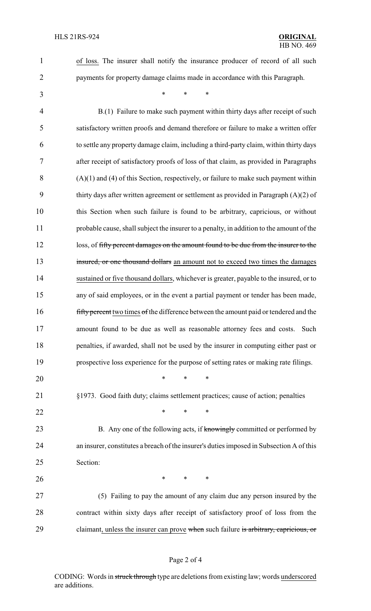- of loss. The insurer shall notify the insurance producer of record of all such
- payments for property damage claims made in accordance with this Paragraph.

\* \* \*

 B.(1) Failure to make such payment within thirty days after receipt of such satisfactory written proofs and demand therefore or failure to make a written offer to settle any property damage claim, including a third-party claim, within thirty days after receipt of satisfactory proofs of loss of that claim, as provided in Paragraphs (A)(1) and (4) of this Section, respectively, or failure to make such payment within thirty days after written agreement or settlement as provided in Paragraph (A)(2) of this Section when such failure is found to be arbitrary, capricious, or without probable cause, shall subject the insurer to a penalty, in addition to the amount of the 12 loss, of fifty percent damages on the amount found to be due from the insurer to the 13 insured, or one thousand dollars an amount not to exceed two times the damages sustained or five thousand dollars, whichever is greater, payable to the insured, or to any of said employees, or in the event a partial payment or tender has been made, 16 fifty percent two times of the difference between the amount paid or tendered and the amount found to be due as well as reasonable attorney fees and costs. Such penalties, if awarded, shall not be used by the insurer in computing either past or prospective loss experience for the purpose of setting rates or making rate filings. \* \* \* §1973. Good faith duty; claims settlement practices; cause of action; penalties **\*** \* \* \* 23 B. Any one of the following acts, if knowingly committed or performed by an insurer, constitutes a breach of the insurer's duties imposed in Subsection A of this Section: **\*** \* \* \* (5) Failing to pay the amount of any claim due any person insured by the contract within sixty days after receipt of satisfactory proof of loss from the

29 claimant, unless the insurer can prove when such failure is arbitrary, capricious, or

#### Page 2 of 4

CODING: Words in struck through type are deletions from existing law; words underscored are additions.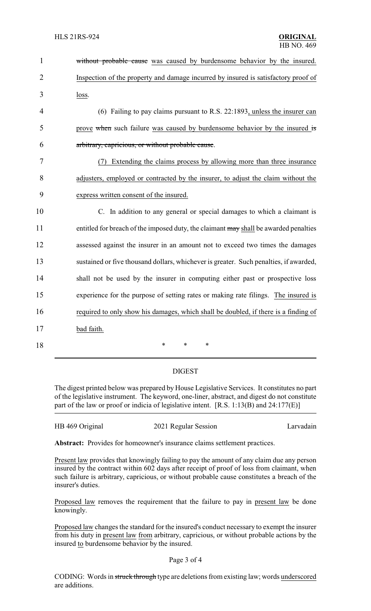| $\mathbf{1}$   | without probable cause was caused by burdensome behavior by the insured.              |  |  |
|----------------|---------------------------------------------------------------------------------------|--|--|
| $\overline{2}$ | Inspection of the property and damage incurred by insured is satisfactory proof of    |  |  |
| 3              | loss.                                                                                 |  |  |
| 4              | (6) Failing to pay claims pursuant to R.S. 22:1893, unless the insurer can            |  |  |
| 5              | prove when such failure was caused by burdensome behavior by the insured is           |  |  |
| 6              | arbitrary, capricious, or without probable cause.                                     |  |  |
| 7              | Extending the claims process by allowing more than three insurance<br>(7)             |  |  |
| 8              | adjusters, employed or contracted by the insurer, to adjust the claim without the     |  |  |
| 9              | express written consent of the insured.                                               |  |  |
| 10             | C. In addition to any general or special damages to which a claimant is               |  |  |
| 11             | entitled for breach of the imposed duty, the claimant may shall be awarded penalties  |  |  |
| 12             | assessed against the insurer in an amount not to exceed two times the damages         |  |  |
| 13             | sustained or five thousand dollars, whichever is greater. Such penalties, if awarded, |  |  |
| 14             | shall not be used by the insurer in computing either past or prospective loss         |  |  |
| 15             | experience for the purpose of setting rates or making rate filings. The insured is    |  |  |
| 16             | required to only show his damages, which shall be doubled, if there is a finding of   |  |  |
| 17             | bad faith.                                                                            |  |  |
| 18             | $\ast$<br>*<br>*                                                                      |  |  |

# DIGEST

The digest printed below was prepared by House Legislative Services. It constitutes no part of the legislative instrument. The keyword, one-liner, abstract, and digest do not constitute part of the law or proof or indicia of legislative intent. [R.S. 1:13(B) and 24:177(E)]

| HB 469 Original | 2021 Regular Session | Larvadain |
|-----------------|----------------------|-----------|
|                 |                      |           |

**Abstract:** Provides for homeowner's insurance claims settlement practices.

Present law provides that knowingly failing to pay the amount of any claim due any person insured by the contract within 602 days after receipt of proof of loss from claimant, when such failure is arbitrary, capricious, or without probable cause constitutes a breach of the insurer's duties.

Proposed law removes the requirement that the failure to pay in present law be done knowingly.

Proposed law changes the standard for the insured's conduct necessary to exempt the insurer from his duty in present law from arbitrary, capricious, or without probable actions by the insured to burdensome behavior by the insured.

### Page 3 of 4

CODING: Words in struck through type are deletions from existing law; words underscored are additions.